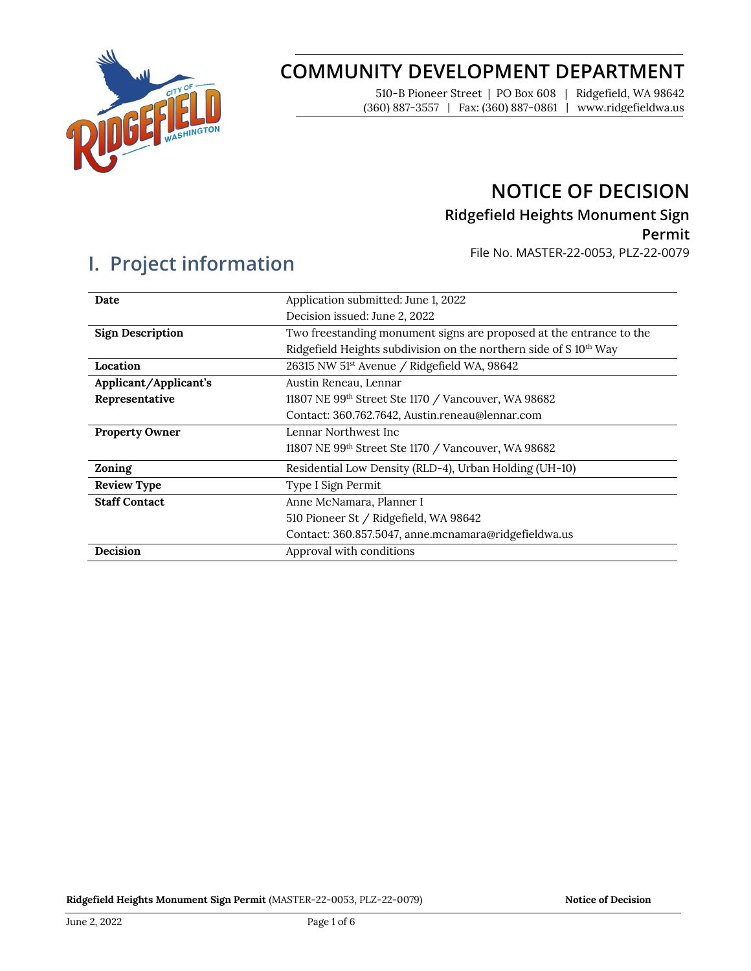

# **COMMUNITY DEVELOPMENT DEPARTMENT**

510-B Pioneer Street | PO Box 608 | Ridgefield, WA 98642 (360) 887-3557 | Fax: (360) 887-0861 | www.ridgefieldwa.us

## **NOTICE OF DECISION**

## **Ridgefield Heights Monument Sign**

### **Permit**

File No. MASTER-22-0053, PLZ-22-0079

# **I. Project information**

| Date                    | Application submitted: June 1, 2022                                 |  |  |
|-------------------------|---------------------------------------------------------------------|--|--|
|                         | Decision issued: June 2, 2022                                       |  |  |
| <b>Sign Description</b> | Two freestanding monument signs are proposed at the entrance to the |  |  |
|                         | Ridgefield Heights subdivision on the northern side of S 10th Way   |  |  |
| Location                | 26315 NW 51 <sup>st</sup> Avenue / Ridgefield WA, 98642             |  |  |
| Applicant/Applicant's   | Austin Reneau, Lennar                                               |  |  |
| Representative          | 11807 NE 99th Street Ste 1170 / Vancouver, WA 98682                 |  |  |
|                         | Contact: 360.762.7642, Austin.reneau@lennar.com                     |  |  |
| <b>Property Owner</b>   | Lennar Northwest Inc                                                |  |  |
|                         | 11807 NE 99th Street Ste 1170 / Vancouver, WA 98682                 |  |  |
| Zoning                  | Residential Low Density (RLD-4), Urban Holding (UH-10)              |  |  |
| <b>Review Type</b>      | Type I Sign Permit                                                  |  |  |
| <b>Staff Contact</b>    | Anne McNamara, Planner I                                            |  |  |
|                         | 510 Pioneer St / Ridgefield, WA 98642                               |  |  |
|                         | Contact: 360.857.5047, anne.mcnamara@ridgefieldwa.us                |  |  |
| <b>Decision</b>         | Approval with conditions                                            |  |  |
|                         |                                                                     |  |  |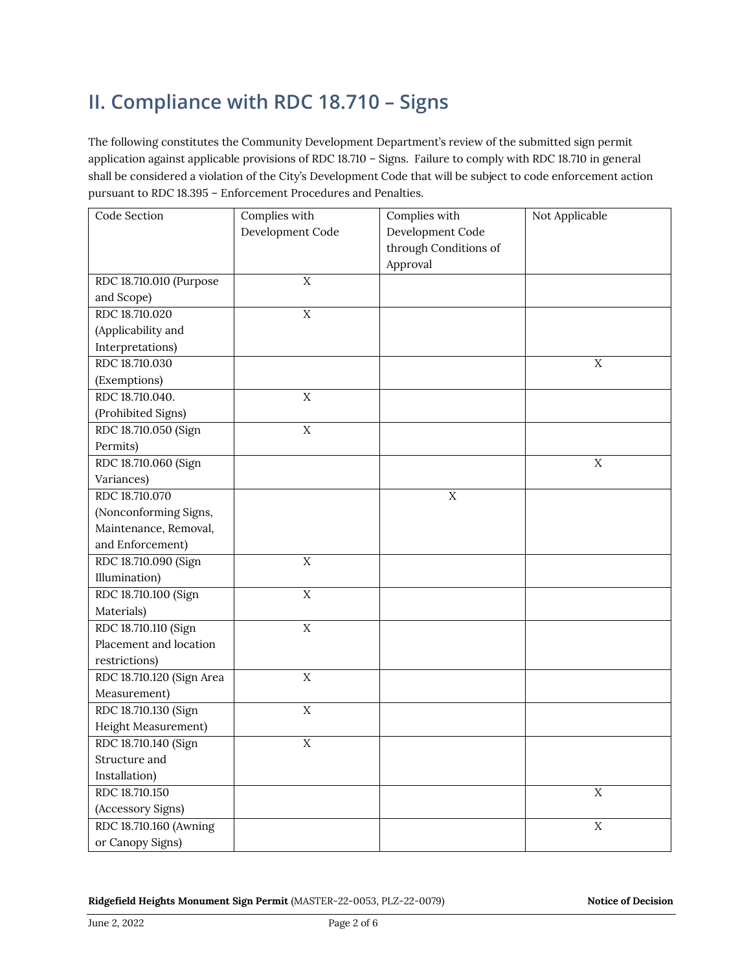# **II. Compliance with RDC 18.710 – Signs**

The following constitutes the Community Development Department's review of the submitted sign permit application against applicable provisions of RDC 18.710 – Signs. Failure to comply with RDC 18.710 in general shall be considered a violation of the City's Development Code that will be subject to code enforcement action pursuant to RDC 18.395 – Enforcement Procedures and Penalties.

| Code Section              | Complies with    | Complies with         | Not Applicable |
|---------------------------|------------------|-----------------------|----------------|
|                           | Development Code | Development Code      |                |
|                           |                  | through Conditions of |                |
|                           |                  | Approval              |                |
| RDC 18.710.010 (Purpose   | $\mathbf X$      |                       |                |
| and Scope)                |                  |                       |                |
| RDC 18.710.020            | $\overline{X}$   |                       |                |
| (Applicability and        |                  |                       |                |
| Interpretations)          |                  |                       |                |
| RDC 18.710.030            |                  |                       | $\overline{X}$ |
| (Exemptions)              |                  |                       |                |
| RDC 18.710.040.           | $\rm X$          |                       |                |
| (Prohibited Signs)        |                  |                       |                |
| RDC 18.710.050 (Sign      | $\overline{X}$   |                       |                |
| Permits)                  |                  |                       |                |
| RDC 18.710.060 (Sign      |                  |                       | $\mathbf X$    |
| Variances)                |                  |                       |                |
| RDC 18.710.070            |                  | $\overline{X}$        |                |
| (Nonconforming Signs,     |                  |                       |                |
| Maintenance, Removal,     |                  |                       |                |
| and Enforcement)          |                  |                       |                |
| RDC 18.710.090 (Sign      | $\rm X$          |                       |                |
| Illumination)             |                  |                       |                |
| RDC 18.710.100 (Sign      | $\rm X$          |                       |                |
| Materials)                |                  |                       |                |
| RDC 18.710.110 (Sign      | $\overline{X}$   |                       |                |
| Placement and location    |                  |                       |                |
| restrictions)             |                  |                       |                |
| RDC 18.710.120 (Sign Area | $\mathbf X$      |                       |                |
| Measurement)              |                  |                       |                |
| RDC 18.710.130 (Sign      | $\overline{X}$   |                       |                |
| Height Measurement)       |                  |                       |                |
| RDC 18.710.140 (Sign      | $\mathbf X$      |                       |                |
| Structure and             |                  |                       |                |
| Installation)             |                  |                       |                |
| RDC 18.710.150            |                  |                       | $\mathbf X$    |
| (Accessory Signs)         |                  |                       |                |
| RDC 18.710.160 (Awning    |                  |                       | $\mathbf X$    |
| or Canopy Signs)          |                  |                       |                |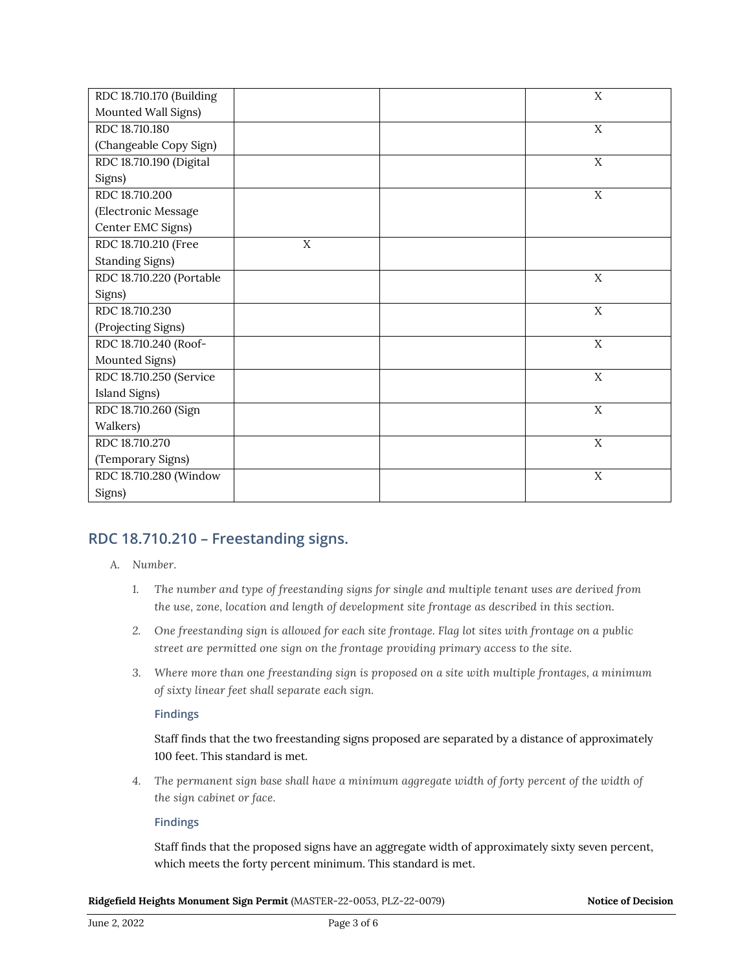| RDC 18.710.170 (Building |   | X           |
|--------------------------|---|-------------|
| Mounted Wall Signs)      |   |             |
| RDC 18.710.180           |   | X           |
| (Changeable Copy Sign)   |   |             |
| RDC 18.710.190 (Digital  |   | X           |
| Signs)                   |   |             |
| RDC 18.710.200           |   | X           |
| (Electronic Message      |   |             |
| Center EMC Signs)        |   |             |
| RDC 18.710.210 (Free     | X |             |
| <b>Standing Signs)</b>   |   |             |
| RDC 18.710.220 (Portable |   | X           |
| Signs)                   |   |             |
| RDC 18.710.230           |   | X           |
| (Projecting Signs)       |   |             |
| RDC 18.710.240 (Roof-    |   | $\mathbf X$ |
| Mounted Signs)           |   |             |
| RDC 18.710.250 (Service  |   | $\mathbf X$ |
| Island Signs)            |   |             |
| RDC 18.710.260 (Sign     |   | $\mathbf X$ |
| Walkers)                 |   |             |
| RDC 18.710.270           |   | $\mathbf X$ |
| (Temporary Signs)        |   |             |
| RDC 18.710.280 (Window   |   | X           |
| Signs)                   |   |             |

## **RDC 18.710.210 – Freestanding signs.**

### *A. Number.*

- *1. The number and type of freestanding signs for single and multiple tenant uses are derived from the use, zone, location and length of development site frontage as described in this section.*
- *2. One freestanding sign is allowed for each site frontage. Flag lot sites with frontage on a public street are permitted one sign on the frontage providing primary access to the site.*
- *3. Where more than one freestanding sign is proposed on a site with multiple frontages, a minimum of sixty linear feet shall separate each sign.*

#### **Findings**

Staff finds that the two freestanding signs proposed are separated by a distance of approximately 100 feet. This standard is met.

*4. The permanent sign base shall have a minimum aggregate width of forty percent of the width of the sign cabinet or face.* 

### **Findings**

Staff finds that the proposed signs have an aggregate width of approximately sixty seven percent, which meets the forty percent minimum. This standard is met.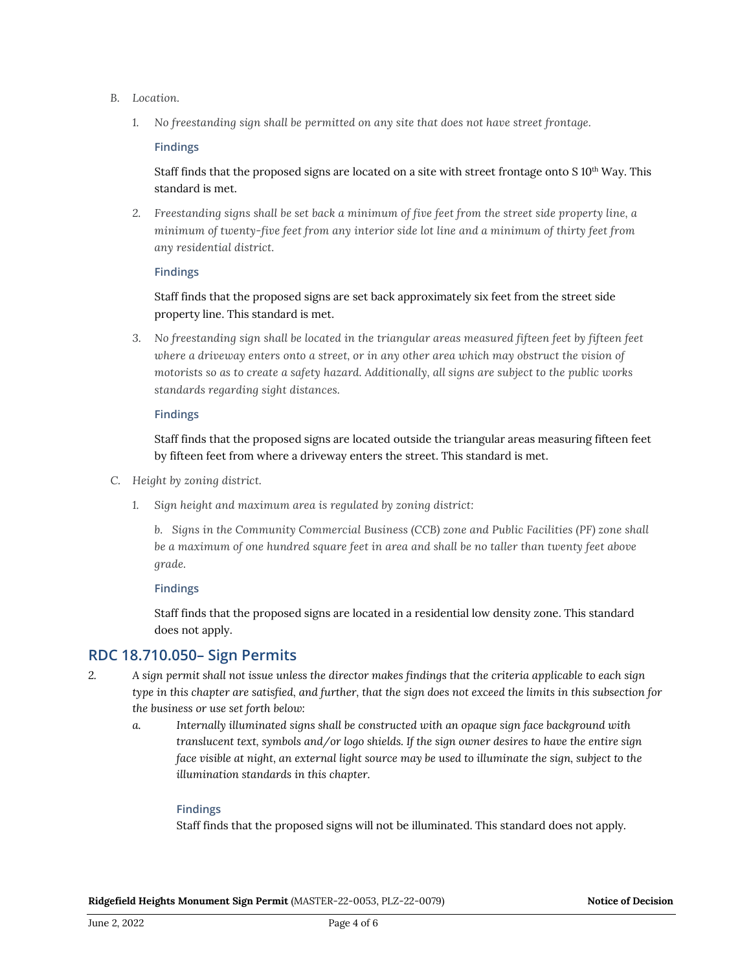- *B. Location.* 
	- *1. No freestanding sign shall be permitted on any site that does not have street frontage.*

#### **Findings**

Staff finds that the proposed signs are located on a site with street frontage onto S  $10<sup>th</sup>$  Way. This standard is met.

*2. Freestanding signs shall be set back a minimum of five feet from the street side property line, a minimum of twenty-five feet from any interior side lot line and a minimum of thirty feet from any residential district.*

#### **Findings**

Staff finds that the proposed signs are set back approximately six feet from the street side property line. This standard is met.

*3. No freestanding sign shall be located in the triangular areas measured fifteen feet by fifteen feet where a driveway enters onto a street, or in any other area which may obstruct the vision of motorists so as to create a safety hazard. Additionally, all signs are subject to the public works standards regarding sight distances.* 

#### **Findings**

Staff finds that the proposed signs are located outside the triangular areas measuring fifteen feet by fifteen feet from where a driveway enters the street. This standard is met.

- *C. Height by zoning district.* 
	- *1. Sign height and maximum area is regulated by zoning district:*

*b. Signs in the Community Commercial Business (CCB) zone and Public Facilities (PF) zone shall be a maximum of one hundred square feet in area and shall be no taller than twenty feet above grade.* 

#### **Findings**

Staff finds that the proposed signs are located in a residential low density zone. This standard does not apply.

## **RDC 18.710.050– Sign Permits**

- *2. A sign permit shall not issue unless the director makes findings that the criteria applicable to each sign type in this chapter are satisfied, and further, that the sign does not exceed the limits in this subsection for the business or use set forth below:*
	- *a. Internally illuminated signs shall be constructed with an opaque sign face background with translucent text, symbols and/or logo shields. If the sign owner desires to have the entire sign face visible at night, an external light source may be used to illuminate the sign, subject to the illumination standards in this chapter.*

### **Findings**

Staff finds that the proposed signs will not be illuminated. This standard does not apply.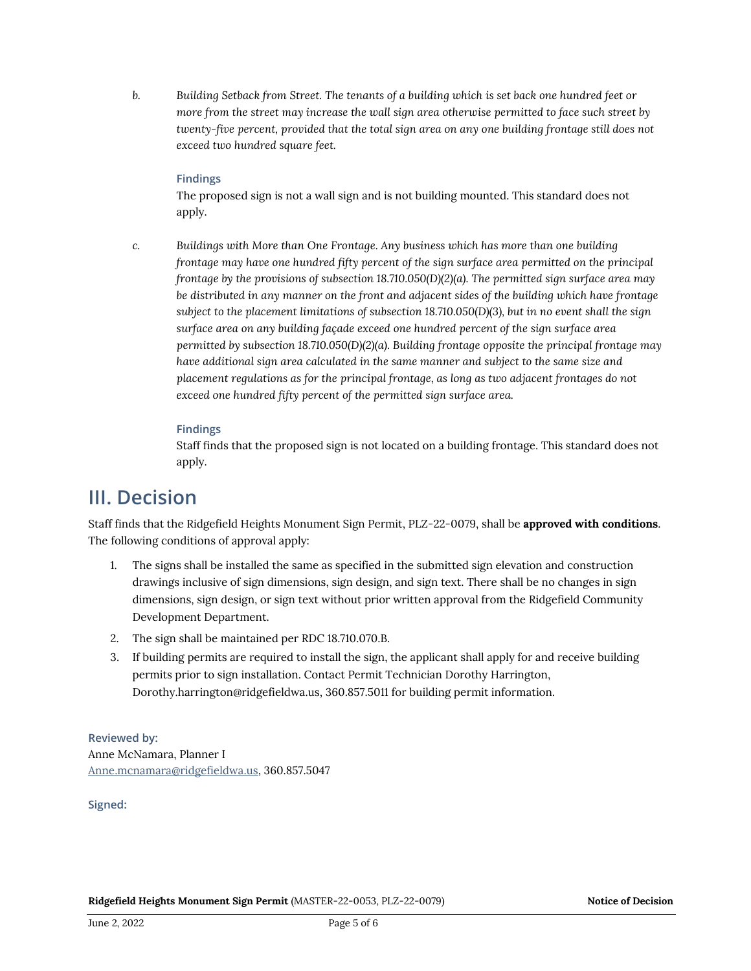*b. Building Setback from Street. The tenants of a building which is set back one hundred feet or more from the street may increase the wall sign area otherwise permitted to face such street by twenty-five percent, provided that the total sign area on any one building frontage still does not exceed two hundred square feet.*

#### **Findings**

The proposed sign is not a wall sign and is not building mounted. This standard does not apply.

*c. Buildings with More than One Frontage. Any business which has more than one building frontage may have one hundred fifty percent of the sign surface area permitted on the principal frontage by the provisions of subsection 18.710.050(D)(2)(a). The permitted sign surface area may be distributed in any manner on the front and adjacent sides of the building which have frontage subject to the placement limitations of subsection 18.710.050(D)(3), but in no event shall the sign surface area on any building façade exceed one hundred percent of the sign surface area permitted by subsection 18.710.050(D)(2)(a). Building frontage opposite the principal frontage may have additional sign area calculated in the same manner and subject to the same size and placement regulations as for the principal frontage, as long as two adjacent frontages do not exceed one hundred fifty percent of the permitted sign surface area.*

#### **Findings**

Staff finds that the proposed sign is not located on a building frontage. This standard does not apply.

## **III. Decision**

Staff finds that the Ridgefield Heights Monument Sign Permit, PLZ-22-0079, shall be **approved with conditions**. The following conditions of approval apply:

- 1. The signs shall be installed the same as specified in the submitted sign elevation and construction drawings inclusive of sign dimensions, sign design, and sign text. There shall be no changes in sign dimensions, sign design, or sign text without prior written approval from the Ridgefield Community Development Department.
- 2. The sign shall be maintained per RDC 18.710.070.B.
- 3. If building permits are required to install the sign, the applicant shall apply for and receive building permits prior to sign installation. Contact Permit Technician Dorothy Harrington, Dorothy.harrington@ridgefieldwa.us, 360.857.5011 for building permit information.

**Reviewed by:** Anne McNamara, Planner I [Anne.mcnamara@ridgefieldwa.us,](mailto:Anne.mcnamara@ridgefieldwa.us) 360.857.5047

**Signed:**